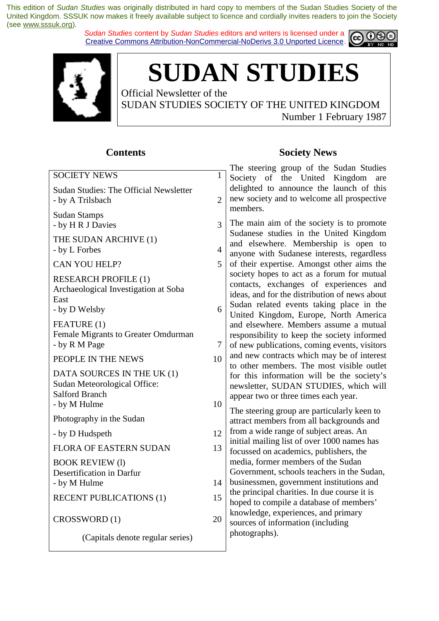*Sudan Studies* content by *Sudan Studies* editors and writers is licensed under a Creative Commons Attribution-NonCommercial-NoDerivs 3.0 Unported Licence.





**SUDAN STUDIES** 

Official Newsletter of the SUDAN STUDIES SOCIETY OF THE UNITED KINGDOM Number 1 February 1987

#### **Contents**

| <b>SOCIETY NEWS</b>                                                                                 | $\mathbf{1}$   | $\sum_{i=1}^{n}$<br>$10up$ or $m$<br>Society of the United                                                                                    |  |  |
|-----------------------------------------------------------------------------------------------------|----------------|-----------------------------------------------------------------------------------------------------------------------------------------------|--|--|
| <b>Sudan Studies: The Official Newsletter</b><br>- by A Trilsbach                                   | $\overline{2}$ | delighted to announce th<br>new society and to welcon<br>members.                                                                             |  |  |
| <b>Sudan Stamps</b><br>- by H R J Davies                                                            | 3              | The main aim of the socie                                                                                                                     |  |  |
| THE SUDAN ARCHIVE (1)<br>- by L Forbes                                                              | $\overline{4}$ | Sudanese studies in the<br>and elsewhere. Members<br>anyone with Sudanese int                                                                 |  |  |
| CAN YOU HELP?                                                                                       | 5              | of their expertise. Among                                                                                                                     |  |  |
| <b>RESEARCH PROFILE (1)</b><br>Archaeological Investigation at Soba<br>East<br>- by D Welsby        | 6              | society hopes to act as a 1<br>contacts, exchanges of<br>ideas, and for the distributi<br>Sudan related events tak<br>United Kingdom, Europe, |  |  |
| FEATURE (1)<br>Female Migrants to Greater Omdurman<br>- by R M Page                                 | 7              | and elsewhere. Members<br>responsibility to keep the<br>of new publications, comin                                                            |  |  |
| PEOPLE IN THE NEWS                                                                                  | 10             | and new contracts which n<br>to other members. The m                                                                                          |  |  |
| DATA SOURCES IN THE UK (1)<br>Sudan Meteorological Office:<br><b>Salford Branch</b><br>- by M Hulme | 10             | for this information will<br>newsletter, SUDAN STUI<br>appear two or three times e                                                            |  |  |
| Photography in the Sudan                                                                            |                | The steering group are part<br>attract members from all ba                                                                                    |  |  |
| - by D Hudspeth                                                                                     | 12             | from a wide range of subje                                                                                                                    |  |  |
| FLORA OF EASTERN SUDAN                                                                              | 13             | initial mailing list of over 1<br>focussed on academics, pul                                                                                  |  |  |
| <b>BOOK REVIEW (1)</b><br>Desertification in Darfur<br>- by M Hulme                                 | 14             | media, former members of<br>Government, schools teach<br>businessmen, government                                                              |  |  |
| <b>RECENT PUBLICATIONS (1)</b>                                                                      | 15             | the principal charities. In d<br>hoped to compile a databas                                                                                   |  |  |
| CROSSWORD (1)                                                                                       | 20             | knowledge, experiences, ar<br>sources of information (inc                                                                                     |  |  |
| (Capitals denote regular series)                                                                    |                | photographs).                                                                                                                                 |  |  |

#### **Society News**

The steering group of the Sudan Studies Kingdom are e launch of this ne all prospective

ety is to promote United Kingdom ship is open to erests, regardless st other aims the forum for mutual experiences and ion of news about ing place in the . North America assume a mutual society informed ng events, visitors nay be of interest to outlet is outlet. be the society's DIES, which will each year.

ticularly keen to ackgrounds and free a wide range of a wide range of an analysis and a wide range of subject areas. An  $1000$  names has blishers, the the Sudan ers in the Sudan, institutions and the course it is se of members' nd primary cluding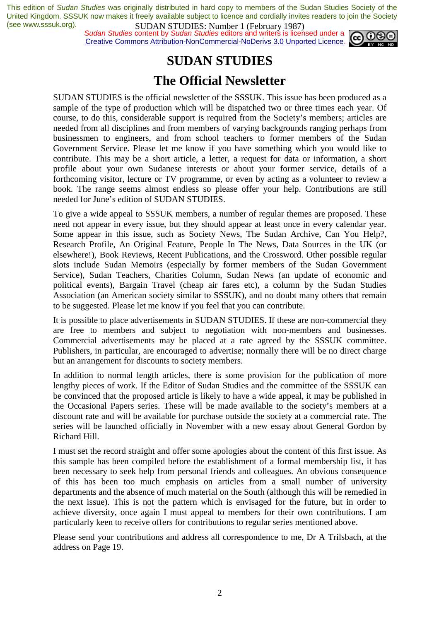*Sudan Studies* content by *Sudan Studies* editors and writers is licensed under a Creative Commons Attribution-NonCommercial-NoDerivs 3.0 Unported Licence.



### **SUDAN STUDIES**

### **The Official Newsletter**

SUDAN STUDIES is the official newsletter of the SSSUK. This issue has been produced as a sample of the type of production which will be dispatched two or three times each year. Of course, to do this, considerable support is required from the Society's members; articles are needed from all disciplines and from members of varying backgrounds ranging perhaps from businessmen to engineers, and from school teachers to former members of the Sudan Government Service. Please let me know if you have something which you would like to contribute. This may be a short article, a letter, a request for data or information, a short profile about your own Sudanese interests or about your former service, details of a forthcoming visitor, lecture or TV programme, or even by acting as a volunteer to review a book. The range seems almost endless so please offer your help. Contributions are still needed for June's edition of SUDAN STUDIES.

To give a wide appeal to SSSUK members, a number of regular themes are proposed. These need not appear in every issue, but they should appear at least once in every calendar year. Some appear in this issue, such as Society News, The Sudan Archive, Can You Help?, Research Profile, An Original Feature, People In The News, Data Sources in the UK (or elsewhere!), Book Reviews, Recent Publications, and the Crossword. Other possible regular slots include Sudan Memoirs (especially by former members of the Sudan Government Service), Sudan Teachers, Charities Column, Sudan News (an update of economic and political events), Bargain Travel (cheap air fares etc), a column by the Sudan Studies Association (an American society similar to SSSUK), and no doubt many others that remain to be suggested. Please let me know if you feel that you can contribute.

It is possible to place advertisements in SUDAN STUDIES. If these are non-commercial they are free to members and subject to negotiation with non-members and businesses. Commercial advertisements may be placed at a rate agreed by the SSSUK committee. Publishers, in particular, are encouraged to advertise; normally there will be no direct charge but an arrangement for discounts to society members.

In addition to normal length articles, there is some provision for the publication of more lengthy pieces of work. If the Editor of Sudan Studies and the committee of the SSSUK can be convinced that the proposed article is likely to have a wide appeal, it may be published in the Occasional Papers series. These will be made available to the society's members at a discount rate and will be available for purchase outside the society at a commercial rate. The series will be launched officially in November with a new essay about General Gordon by Richard Hill.

I must set the record straight and offer some apologies about the content of this first issue. As this sample has been compiled before the establishment of a formal membership list, it has been necessary to seek help from personal friends and colleagues. An obvious consequence of this has been too much emphasis on articles from a small number of university departments and the absence of much material on the South (although this will be remedied in the next issue). This is not the pattern which is envisaged for the future, but in order to achieve diversity, once again I must appeal to members for their own contributions. I am particularly keen to receive offers for contributions to regular series mentioned above.

Please send your contributions and address all correspondence to me, Dr A Trilsbach, at the address on Page 19.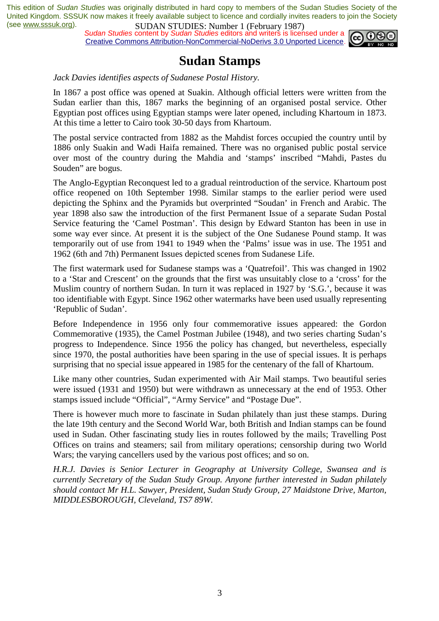*Sudan Studies* content by *Sudan Studies* editors and writers is licensed under a Creative Commons Attribution-NonCommercial-NoDerivs 3.0 Unported Licence.



### **Sudan Stamps**

*Jack Davies identifies aspects of Sudanese Postal History.* 

In 1867 a post office was opened at Suakin. Although official letters were written from the Sudan earlier than this, 1867 marks the beginning of an organised postal service. Other Egyptian post offices using Egyptian stamps were later opened, including Khartoum in 1873. At this time a letter to Cairo took 30-50 days from Khartoum.

The postal service contracted from 1882 as the Mahdist forces occupied the country until by 1886 only Suakin and Wadi Haifa remained. There was no organised public postal service over most of the country during the Mahdia and 'stamps' inscribed "Mahdi, Pastes du Souden" are bogus.

The Anglo-Egyptian Reconquest led to a gradual reintroduction of the service. Khartoum post office reopened on 10th September 1998. Similar stamps to the earlier period were used depicting the Sphinx and the Pyramids but overprinted "Soudan' in French and Arabic. The year 1898 also saw the introduction of the first Permanent Issue of a separate Sudan Postal Service featuring the 'Camel Postman'. This design by Edward Stanton has been in use in some way ever since. At present it is the subject of the One Sudanese Pound stamp. It was temporarily out of use from 1941 to 1949 when the 'Palms' issue was in use. The 1951 and 1962 (6th and 7th) Permanent Issues depicted scenes from Sudanese Life.

The first watermark used for Sudanese stamps was a 'Quatrefoil'. This was changed in 1902 to a 'Star and Crescent' on the grounds that the first was unsuitably close to a 'cross' for the Muslim country of northern Sudan. In turn it was replaced in 1927 by 'S.G.', because it was too identifiable with Egypt. Since 1962 other watermarks have been used usually representing 'Republic of Sudan'.

Before Independence in 1956 only four commemorative issues appeared: the Gordon Commemorative (1935), the Camel Postman Jubilee (1948), and two series charting Sudan's progress to Independence. Since 1956 the policy has changed, but nevertheless, especially since 1970, the postal authorities have been sparing in the use of special issues. It is perhaps surprising that no special issue appeared in 1985 for the centenary of the fall of Khartoum.

Like many other countries, Sudan experimented with Air Mail stamps. Two beautiful series were issued (1931 and 1950) but were withdrawn as unnecessary at the end of 1953. Other stamps issued include "Official", "Army Service" and "Postage Due".

There is however much more to fascinate in Sudan philately than just these stamps. During the late 19th century and the Second World War, both British and Indian stamps can be found used in Sudan. Other fascinating study lies in routes followed by the mails; Travelling Post Offices on trains and steamers; sail from military operations; censorship during two World Wars; the varying cancellers used by the various post offices; and so on.

*H.R.J. Davies is Senior Lecturer in Geography at University College, Swansea and is currently Secretary of the Sudan Study Group. Anyone further interested in Sudan philately should contact Mr H.L. Sawyer, President, Sudan Study Group, 27 Maidstone Drive, Marton, MIDDLESBOROUGH, Cleveland, TS7 89W*.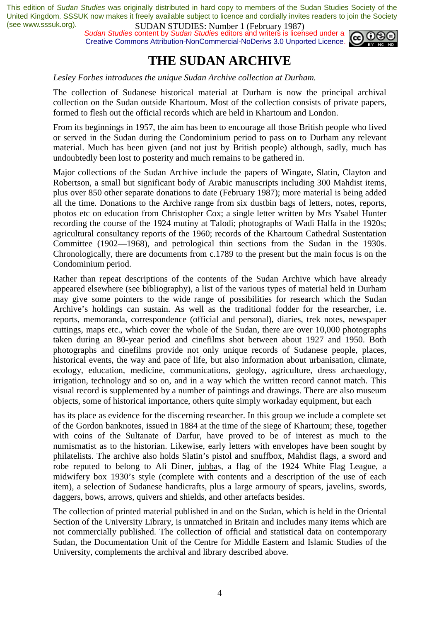*Sudan Studies* content by *Sudan Studies* editors and writers is licensed under a Creative Commons Attribution-NonCommercial-NoDerivs 3.0 Unported Licence.



### **THE SUDAN ARCHIVE**

*Lesley Forbes introduces the unique Sudan Archive collection at Durham.* 

The collection of Sudanese historical material at Durham is now the principal archival collection on the Sudan outside Khartoum. Most of the collection consists of private papers, formed to flesh out the official records which are held in Khartoum and London.

From its beginnings in 1957, the aim has been to encourage all those British people who lived or served in the Sudan during the Condominium period to pass on to Durham any relevant material. Much has been given (and not just by British people) although, sadly, much has undoubtedly been lost to posterity and much remains to be gathered in.

Major collections of the Sudan Archive include the papers of Wingate, Slatin, Clayton and Robertson, a small but significant body of Arabic manuscripts including 300 Mahdist items, plus over 850 other separate donations to date (February 1987); more material is being added all the time. Donations to the Archive range from six dustbin bags of letters, notes, reports, photos etc on education from Christopher Cox; a single letter written by Mrs Ysabel Hunter recording the course of the 1924 mutiny at Talodi; photographs of Wadi Halfa in the 1920s; agricultural consultancy reports of the 1960; records of the Khartoum Cathedral Sustentation Committee (1902—1968), and petrological thin sections from the Sudan in the 1930s. Chronologically, there are documents from c.1789 to the present but the main focus is on the Condominium period.

Rather than repeat descriptions of the contents of the Sudan Archive which have already appeared elsewhere (see bibliography), a list of the various types of material held in Durham may give some pointers to the wide range of possibilities for research which the Sudan Archive's holdings can sustain. As well as the traditional fodder for the researcher, i.e. reports, memoranda, correspondence (official and personal), diaries, trek notes, newspaper cuttings, maps etc., which cover the whole of the Sudan, there are over 10,000 photographs taken during an 80-year period and cinefilms shot between about 1927 and 1950. Both photographs and cinefilms provide not only unique records of Sudanese people, places, historical events, the way and pace of life, but also information about urbanisation, climate, ecology, education, medicine, communications, geology, agriculture, dress archaeology, irrigation, technology and so on, and in a way which the written record cannot match. This visual record is supplemented by a number of paintings and drawings. There are also museum objects, some of historical importance, others quite simply workaday equipment, but each

has its place as evidence for the discerning researcher. In this group we include a complete set of the Gordon banknotes, issued in 1884 at the time of the siege of Khartoum; these, together with coins of the Sultanate of Darfur, have proved to be of interest as much to the numismatist as to the historian. Likewise, early letters with envelopes have been sought by philatelists. The archive also holds Slatin's pistol and snuffbox, Mahdist flags, a sword and robe reputed to belong to Ali Diner, jubbas, a flag of the 1924 White Flag League, a midwifery box 1930's style (complete with contents and a description of the use of each item), a selection of Sudanese handicrafts, plus a large armoury of spears, javelins, swords, daggers, bows, arrows, quivers and shields, and other artefacts besides.

The collection of printed material published in and on the Sudan, which is held in the Oriental Section of the University Library, is unmatched in Britain and includes many items which are not commercially published. The collection of official and statistical data on contemporary Sudan, the Documentation Unit of the Centre for Middle Eastern and Islamic Studies of the University, complements the archival and library described above.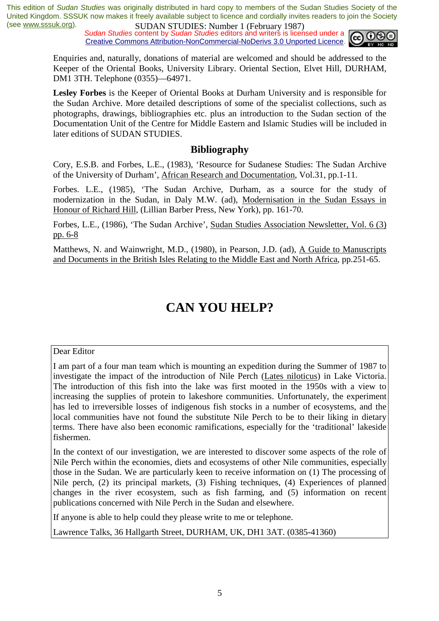*Sudan Studies* content by *Sudan Studies* editors and writers is licensed under a Creative Commons Attribution-NonCommercial-NoDerivs 3.0 Unported Licence.



Enquiries and, naturally, donations of material are welcomed and should be addressed to the Keeper of the Oriental Books, University Library. Oriental Section, Elvet Hill, DURHAM, DM1 3TH. Telephone (0355)—64971.

**Lesley Forbes** is the Keeper of Oriental Books at Durham University and is responsible for the Sudan Archive. More detailed descriptions of some of the specialist collections, such as photographs, drawings, bibliographies etc. plus an introduction to the Sudan section of the Documentation Unit of the Centre for Middle Eastern and Islamic Studies will be included in later editions of SUDAN STUDIES.

#### **Bibliography**

Cory, E.S.B. and Forbes, L.E., (1983), 'Resource for Sudanese Studies: The Sudan Archive of the University of Durham', African Research and Documentation, Vol.31, pp.1-11.

Forbes. L.E., (1985), 'The Sudan Archive, Durham, as a source for the study of modernization in the Sudan, in Daly M.W. (ad), Modernisation in the Sudan Essays in Honour of Richard Hill, (Lillian Barber Press, New York), pp. 161-70.

Forbes, L.E., (1986), 'The Sudan Archive', Sudan Studies Association Newsletter, Vol. 6 (3) pp. 6-8

Matthews, N. and Wainwright, M.D., (1980), in Pearson, J.D. (ad), A Guide to Manuscripts and Documents in the British Isles Relating to the Middle East and North Africa, pp.251-65.

# **CAN YOU HELP?**

#### Dear Editor

I am part of a four man team which is mounting an expedition during the Summer of 1987 to investigate the impact of the introduction of Nile Perch (Lates niloticus) in Lake Victoria. The introduction of this fish into the lake was first mooted in the 1950s with a view to increasing the supplies of protein to lakeshore communities. Unfortunately, the experiment has led to irreversible losses of indigenous fish stocks in a number of ecosystems, and the local communities have not found the substitute Nile Perch to be to their liking in dietary terms. There have also been economic ramifications, especially for the 'traditional' lakeside fishermen.

In the context of our investigation, we are interested to discover some aspects of the role of Nile Perch within the economies, diets and ecosystems of other Nile communities, especially those in the Sudan. We are particularly keen to receive information on (1) The processing of Nile perch, (2) its principal markets, (3) Fishing techniques, (4) Experiences of planned changes in the river ecosystem, such as fish farming, and (5) information on recent publications concerned with Nile Perch in the Sudan and elsewhere.

If anyone is able to help could they please write to me or telephone.

Lawrence Talks, 36 Hallgarth Street, DURHAM, UK, DH1 3AT. (0385-41360)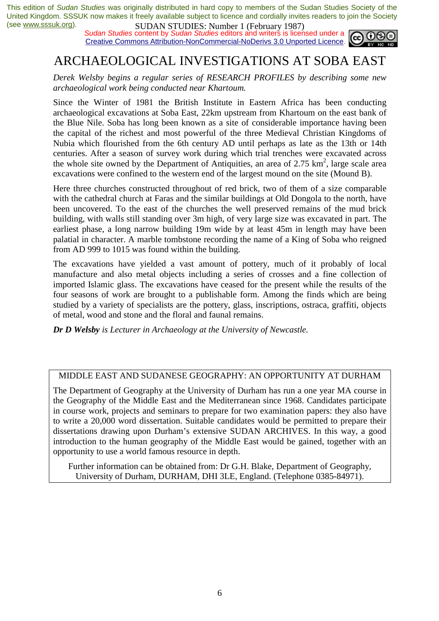*Sudan Studies* content by *Sudan Studies* editors and writers is licensed under a Creative Commons Attribution-NonCommercial-NoDerivs 3.0 Unported Licence.



# ARCHAEOLOGICAL INVESTIGATIONS AT SOBA EAST

*Derek Welsby begins a regular series of RESEARCH PROFILES by describing some new archaeological work being conducted near Khartoum.* 

Since the Winter of 1981 the British Institute in Eastern Africa has been conducting archaeological excavations at Soba East, 22km upstream from Khartoum on the east bank of the Blue Nile. Soba has long been known as a site of considerable importance having been the capital of the richest and most powerful of the three Medieval Christian Kingdoms of Nubia which flourished from the 6th century AD until perhaps as late as the 13th or 14th centuries. After a season of survey work during which trial trenches were excavated across the whole site owned by the Department of Antiquities, an area of  $2.75 \text{ km}^2$ , large scale area excavations were confined to the western end of the largest mound on the site (Mound B).

Here three churches constructed throughout of red brick, two of them of a size comparable with the cathedral church at Faras and the similar buildings at Old Dongola to the north, have been uncovered. To the east of the churches the well preserved remains of the mud brick building, with walls still standing over 3m high, of very large size was excavated in part. The earliest phase, a long narrow building 19m wide by at least 45m in length may have been palatial in character. A marble tombstone recording the name of a King of Soba who reigned from AD 999 to 1015 was found within the building.

The excavations have yielded a vast amount of pottery, much of it probably of local manufacture and also metal objects including a series of crosses and a fine collection of imported Islamic glass. The excavations have ceased for the present while the results of the four seasons of work are brought to a publishable form. Among the finds which are being studied by a variety of specialists are the pottery, glass, inscriptions, ostraca, graffiti, objects of metal, wood and stone and the floral and faunal remains.

*Dr D Welsby is Lecturer in Archaeology at the University of Newcastle.* 

#### MIDDLE EAST AND SUDANESE GEOGRAPHY: AN OPPORTUNITY AT DURHAM

The Department of Geography at the University of Durham has run a one year MA course in the Geography of the Middle East and the Mediterranean since 1968. Candidates participate in course work, projects and seminars to prepare for two examination papers: they also have to write a 20,000 word dissertation. Suitable candidates would be permitted to prepare their dissertations drawing upon Durham's extensive SUDAN ARCHIVES. In this way, a good introduction to the human geography of the Middle East would be gained, together with an opportunity to use a world famous resource in depth.

Further information can be obtained from: Dr G.H. Blake, Department of Geography, University of Durham, DURHAM, DHI 3LE, England. (Telephone 0385-84971).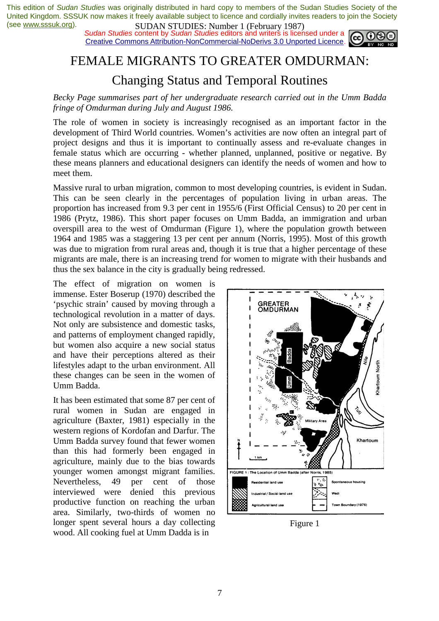*Sudan Studies* content by *Sudan Studies* editors and writers is licensed under a Creative Commons Attribution-NonCommercial-NoDerivs 3.0 Unported Licence.



### FEMALE MIGRANTS TO GREATER OMDURMAN:

### Changing Status and Temporal Routines

*Becky Page summarises part of her undergraduate research carried out in the Umm Badda fringe of Omdurman during July and August 1986.* 

The role of women in society is increasingly recognised as an important factor in the development of Third World countries. Women's activities are now often an integral part of project designs and thus it is important to continually assess and re-evaluate changes in female status which are occurring - whether planned, unplanned, positive or negative. By these means planners and educational designers can identify the needs of women and how to meet them.

Massive rural to urban migration, common to most developing countries, is evident in Sudan. This can be seen clearly in the percentages of population living in urban areas. The proportion has increased from 9.3 per cent in 1955/6 (First Official Census) to 20 per cent in 1986 (Prytz, 1986). This short paper focuses on Umm Badda, an immigration and urban overspill area to the west of Omdurman (Figure 1), where the population growth between 1964 and 1985 was a staggering 13 per cent per annum (Norris, 1995). Most of this growth was due to migration from rural areas and, though it is true that a higher percentage of these migrants are male, there is an increasing trend for women to migrate with their husbands and thus the sex balance in the city is gradually being redressed.

The effect of migration on women is immense. Ester Boserup (1970) described the 'psychic strain' caused by moving through a technological revolution in a matter of days. Not only are subsistence and domestic tasks, and patterns of employment changed rapidly, but women also acquire a new social status and have their perceptions altered as their lifestyles adapt to the urban environment. All these changes can be seen in the women of Umm Badda.

It has been estimated that some 87 per cent of rural women in Sudan are engaged in agriculture (Baxter, 1981) especially in the western regions of Kordofan and Darfur. The Umm Badda survey found that fewer women than this had formerly been engaged in agriculture, mainly due to the bias towards younger women amongst migrant families. Nevertheless, 49 per cent of those interviewed were denied this previous productive function on reaching the urban area. Similarly, two-thirds of women no longer spent several hours a day collecting wood. All cooking fuel at Umm Dadda is in



Figure 1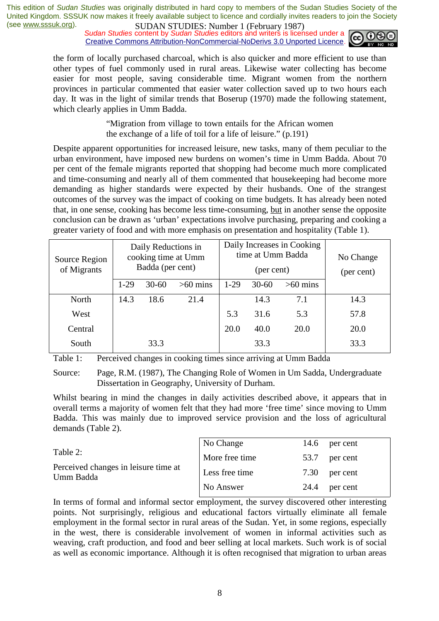*Sudan Studies* content by *Sudan Studies* editors and writers is licensed under a Creative Commons Attribution-NonCommercial-NoDerivs 3.0 Unported Licence.



the form of locally purchased charcoal, which is also quicker and more efficient to use than other types of fuel commonly used in rural areas. Likewise water collecting has become easier for most people, saving considerable time. Migrant women from the northern provinces in particular commented that easier water collection saved up to two hours each day. It was in the light of similar trends that Boserup (1970) made the following statement, which clearly applies in Umm Badda.

> "Migration from village to town entails for the African women the exchange of a life of toil for a life of leisure." (p.191)

Despite apparent opportunities for increased leisure, new tasks, many of them peculiar to the urban environment, have imposed new burdens on women's time in Umm Badda. About 70 per cent of the female migrants reported that shopping had become much more complicated and time-consuming and nearly all of them commented that housekeeping had become more demanding as higher standards were expected by their husbands. One of the strangest outcomes of the survey was the impact of cooking on time budgets. It has already been noted that, in one sense, cooking has become less time-consuming, but in another sense the opposite conclusion can be drawn as 'urban' expectations involve purchasing, preparing and cooking a greater variety of food and with more emphasis on presentation and hospitality (Table 1).

| Source Region<br>of Migrants | Daily Reductions in<br>cooking time at Umm<br>Badda (per cent) |           | Daily Increases in Cooking<br>time at Umm Badda<br>(per cent) |        | No Change<br>(per cent) |            |      |
|------------------------------|----------------------------------------------------------------|-----------|---------------------------------------------------------------|--------|-------------------------|------------|------|
|                              | $1-29$                                                         | $30 - 60$ | $>60$ mins                                                    | $1-29$ | $30 - 60$               | $>60$ mins |      |
| North                        | 14.3                                                           | 18.6      | 21.4                                                          |        | 14.3                    | 7.1        | 14.3 |
| West                         |                                                                |           |                                                               | 5.3    | 31.6                    | 5.3        | 57.8 |
| Central                      |                                                                |           |                                                               | 20.0   | 40.0                    | 20.0       | 20.0 |
| South                        |                                                                | 33.3      |                                                               |        | 33.3                    |            | 33.3 |

Table 1: Perceived changes in cooking times since arriving at Umm Badda

Source: Page, R.M. (1987), The Changing Role of Women in Um Sadda, Undergraduate Dissertation in Geography, University of Durham.

Whilst bearing in mind the changes in daily activities described above, it appears that in overall terms a majority of women felt that they had more 'free time' since moving to Umm Badda. This was mainly due to improved service provision and the loss of agricultural demands (Table 2).

| Table 2:<br>Perceived changes in leisure time at<br>Umm Badda | No Change      | 14.6 | per cent |
|---------------------------------------------------------------|----------------|------|----------|
|                                                               | More free time | 53.7 | per cent |
|                                                               | Less free time | 7.30 | per cent |
|                                                               | No Answer      | 24.4 | per cent |

In terms of formal and informal sector employment, the survey discovered other interesting points. Not surprisingly, religious and educational factors virtually eliminate all female employment in the formal sector in rural areas of the Sudan. Yet, in some regions, especially in the west, there is considerable involvement of women in informal activities such as weaving, craft production, and food and beer selling at local markets. Such work is of social as well as economic importance. Although it is often recognised that migration to urban areas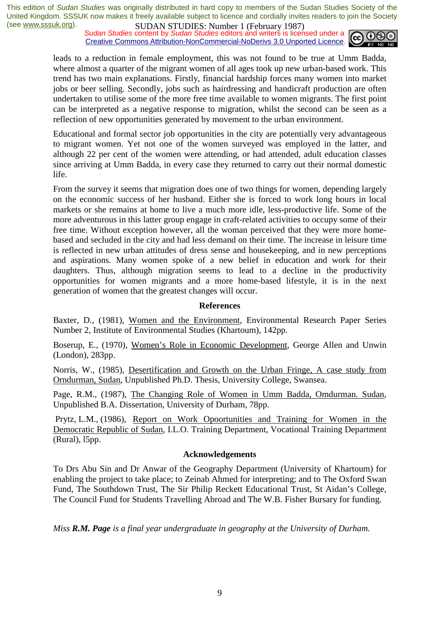*Sudan Studies* content by *Sudan Studies* editors and writers is licensed under a Creative Commons Attribution-NonCommercial-NoDerivs 3.0 Unported Licence.



leads to a reduction in female employment, this was not found to be true at Umm Badda, where almost a quarter of the migrant women of all ages took up new urban-based work. This trend has two main explanations. Firstly, financial hardship forces many women into market jobs or beer selling. Secondly, jobs such as hairdressing and handicraft production are often undertaken to utilise some of the more free time available to women migrants. The first point can be interpreted as a negative response to migration, whilst the second can be seen as a reflection of new opportunities generated by movement to the urban environment.

Educational and formal sector job opportunities in the city are potentially very advantageous to migrant women. Yet not one of the women surveyed was employed in the latter, and although 22 per cent of the women were attending, or had attended, adult education classes since arriving at Umm Badda, in every case they returned to carry out their normal domestic life.

From the survey it seems that migration does one of two things for women, depending largely on the economic success of her husband. Either she is forced to work long hours in local markets or she remains at home to live a much more idle, less-productive life. Some of the more adventurous in this latter group engage in craft-related activities to occupy some of their free time. Without exception however, all the woman perceived that they were more homebased and secluded in the city and had less demand on their time. The increase in leisure time is reflected in new urban attitudes of dress sense and housekeeping, and in new perceptions and aspirations. Many women spoke of a new belief in education and work for their daughters. Thus, although migration seems to lead to a decline in the productivity opportunities for women migrants and a more home-based lifestyle, it is in the next generation of women that the greatest changes will occur.

#### **References**

Baxter, D., (1981), Women and the Environment, Environmental Research Paper Series Number 2, Institute of Environmental Studies (Khartoum), 142pp.

Boserup, E., (1970), Women's Role in Economic Development, George Allen and Unwin (London), 283pp.

Norris, W., (1985), Desertification and Growth on the Urban Fringe, A case study from Orndurman, Sudan, Unpublished Ph.D. Thesis, University College, Swansea.

Page, R.M., (1987), The Changing Role of Women in Umm Badda, Omdurman. Sudan, Unpublished B.A. Dissertation, University of Durham, 78pp.

 Prytz, L.M., (1986), Report on Work Opoortunities and Training for Women in the Democratic Republic of Sudan, I.L.O. Training Department, Vocational Training Department (Rural), l5pp.

#### **Acknowledgements**

To Drs Abu Sin and Dr Anwar of the Geography Department (University of Khartoum) for enabling the project to take place; to Zeinab Ahmed for interpreting; and to The Oxford Swan Fund, The Southdown Trust, The Sir Philip Reckett Educational Trust, St Aidan's College, The Council Fund for Students Travelling Abroad and The W.B. Fisher Bursary for funding.

*Miss R.M. Page is a final year undergraduate in geography at the University of Durham.*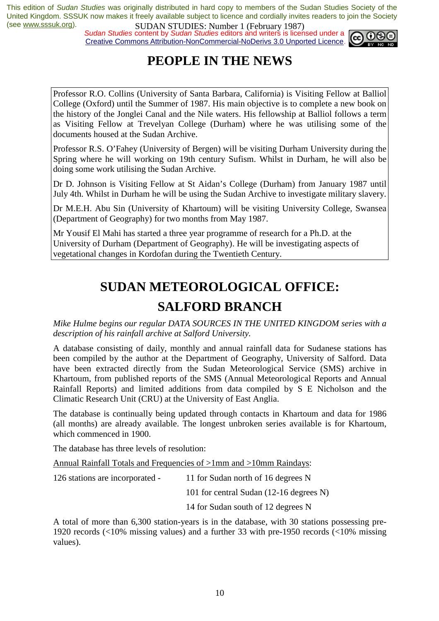*Sudan Studies* content by *Sudan Studies* editors and writers is licensed under a Creative Commons Attribution-NonCommercial-NoDerivs 3.0 Unported Licence.



# **PEOPLE IN THE NEWS**

Professor R.O. Collins (University of Santa Barbara, California) is Visiting Fellow at Balliol College (Oxford) until the Summer of 1987. His main objective is to complete a new book on the history of the Jonglei Canal and the Nile waters. His fellowship at Balliol follows a term as Visiting Fellow at Trevelyan College (Durham) where he was utilising some of the documents housed at the Sudan Archive.

Professor R.S. O'Fahey (University of Bergen) will be visiting Durham University during the Spring where he will working on 19th century Sufism. Whilst in Durham, he will also be doing some work utilising the Sudan Archive.

Dr D. Johnson is Visiting Fellow at St Aidan's College (Durham) from January 1987 until July 4th. Whilst in Durham he will be using the Sudan Archive to investigate military slavery.

Dr M.E.H. Abu Sin (University of Khartoum) will be visiting University College, Swansea (Department of Geography) for two months from May 1987.

Mr Yousif El Mahi has started a three year programme of research for a Ph.D. at the University of Durham (Department of Geography). He will be investigating aspects of vegetational changes in Kordofan during the Twentieth Century.

# **SUDAN METEOROLOGICAL OFFICE: SALFORD BRANCH**

*Mike Hulme begins our regular DATA SOURCES IN THE UNITED KINGDOM series with a description of his rainfall archive at Salford University.* 

A database consisting of daily, monthly and annual rainfall data for Sudanese stations has been compiled by the author at the Department of Geography, University of Salford. Data have been extracted directly from the Sudan Meteorological Service (SMS) archive in Khartoum, from published reports of the SMS (Annual Meteorological Reports and Annual Rainfall Reports) and limited additions from data compiled by S E Nicholson and the Climatic Research Unit (CRU) at the University of East Anglia.

The database is continually being updated through contacts in Khartoum and data for 1986 (all months) are already available. The longest unbroken series available is for Khartoum, which commenced in 1900.

The database has three levels of resolution:

Annual Rainfall Totals and Frequencies of >1mm and >10mm Raindays:

| 126 stations are incorporated - | 11 for Sudan north of 16 degrees N      |
|---------------------------------|-----------------------------------------|
|                                 | 101 for central Sudan (12-16 degrees N) |
|                                 | 14 for Sudan south of 12 degrees N      |

A total of more than 6,300 station-years is in the database, with 30 stations possessing pre-1920 records (<10% missing values) and a further 33 with pre-1950 records (<10% missing values).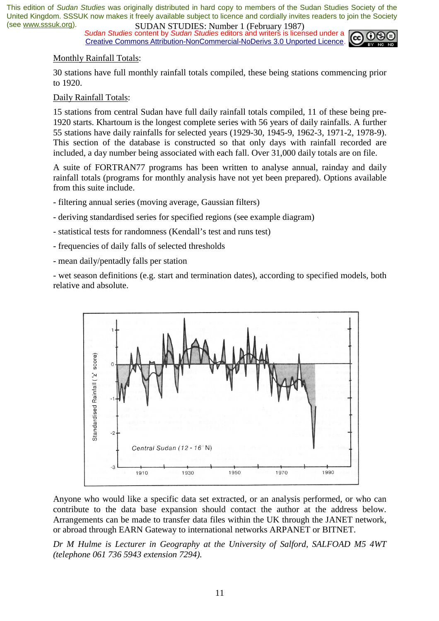*Sudan Studies* content by *Sudan Studies* editors and writers is licensed under a Creative Commons Attribution-NonCommercial-NoDerivs 3.0 Unported Licence.



#### Monthly Rainfall Totals:

30 stations have full monthly rainfall totals compiled, these being stations commencing prior to 1920.

#### Daily Rainfall Totals:

15 stations from central Sudan have full daily rainfall totals compiled, 11 of these being pre-1920 starts. Khartoum is the longest complete series with 56 years of daily rainfalls. A further 55 stations have daily rainfalls for selected years (1929-30, 1945-9, 1962-3, 1971-2, 1978-9). This section of the database is constructed so that only days with rainfall recorded are included, a day number being associated with each fall. Over 31,000 daily totals are on file.

A suite of FORTRAN77 programs has been written to analyse annual, rainday and daily rainfall totals (programs for monthly analysis have not yet been prepared). Options available from this suite include.

- filtering annual series (moving average, Gaussian filters)
- deriving standardised series for specified regions (see example diagram)
- statistical tests for randomness (Kendall's test and runs test)
- frequencies of daily falls of selected thresholds
- mean daily/pentadly falls per station

- wet season definitions (e.g. start and termination dates), according to specified models, both relative and absolute.



Anyone who would like a specific data set extracted, or an analysis performed, or who can contribute to the data base expansion should contact the author at the address below. Arrangements can be made to transfer data files within the UK through the JANET network, or abroad through EARN Gateway to international networks ARPANET or BITNET.

*Dr M Hulme is Lecturer in Geography at the University of Salford, SALFOAD M5 4WT (telephone 061 736 5943 extension 7294).*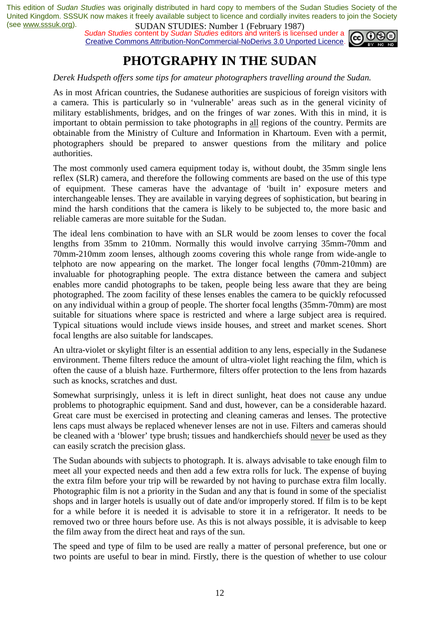*Sudan Studies* content by *Sudan Studies* editors and writers is licensed under a Creative Commons Attribution-NonCommercial-NoDerivs 3.0 Unported Licence.



### **PHOTGRAPHY IN THE SUDAN**

#### *Derek Hudspeth offers some tips for amateur photographers travelling around the Sudan.*

As in most African countries, the Sudanese authorities are suspicious of foreign visitors with a camera. This is particularly so in 'vulnerable' areas such as in the general vicinity of military establishments, bridges, and on the fringes of war zones. With this in mind, it is important to obtain permission to take photographs in all regions of the country. Permits are obtainable from the Ministry of Culture and Information in Khartoum. Even with a permit, photographers should be prepared to answer questions from the military and police authorities.

The most commonly used camera equipment today is, without doubt, the 35mm single lens reflex (SLR) camera, and therefore the following comments are based on the use of this type of equipment. These cameras have the advantage of 'built in' exposure meters and interchangeable lenses. They are available in varying degrees of sophistication, but bearing in mind the harsh conditions that the camera is likely to be subjected to, the more basic and reliable cameras are more suitable for the Sudan.

The ideal lens combination to have with an SLR would be zoom lenses to cover the focal lengths from 35mm to 210mm. Normally this would involve carrying 35mm-70mm and 70mm-210mm zoom lenses, although zooms covering this whole range from wide-angle to telphoto are now appearing on the market. The longer focal lengths (70mm-210mm) are invaluable for photographing people. The extra distance between the camera and subject enables more candid photographs to be taken, people being less aware that they are being photographed. The zoom facility of these lenses enables the camera to be quickly refocussed on any individual within a group of people. The shorter focal lengths (35mm-70mm) are most suitable for situations where space is restricted and where a large subject area is required. Typical situations would include views inside houses, and street and market scenes. Short focal lengths are also suitable for landscapes.

An ultra-violet or skylight filter is an essential addition to any lens, especially in the Sudanese environment. Theme filters reduce the amount of ultra-violet light reaching the film, which is often the cause of a bluish haze. Furthermore, filters offer protection to the lens from hazards such as knocks, scratches and dust.

Somewhat surprisingly, unless it is left in direct sunlight, heat does not cause any undue problems to photographic equipment. Sand and dust, however, can be a considerable hazard. Great care must be exercised in protecting and cleaning cameras and lenses. The protective lens caps must always be replaced whenever lenses are not in use. Filters and cameras should be cleaned with a 'blower' type brush; tissues and handkerchiefs should never be used as they can easily scratch the precision glass.

The Sudan abounds with subjects to photograph. It is. always advisable to take enough film to meet all your expected needs and then add a few extra rolls for luck. The expense of buying the extra film before your trip will be rewarded by not having to purchase extra film locally. Photographic film is not a priority in the Sudan and any that is found in some of the specialist shops and in larger hotels is usually out of date and/or improperly stored. If film is to be kept for a while before it is needed it is advisable to store it in a refrigerator. It needs to be removed two or three hours before use. As this is not always possible, it is advisable to keep the film away from the direct heat and rays of the sun.

The speed and type of film to be used are really a matter of personal preference, but one or two points are useful to bear in mind. Firstly, there is the question of whether to use colour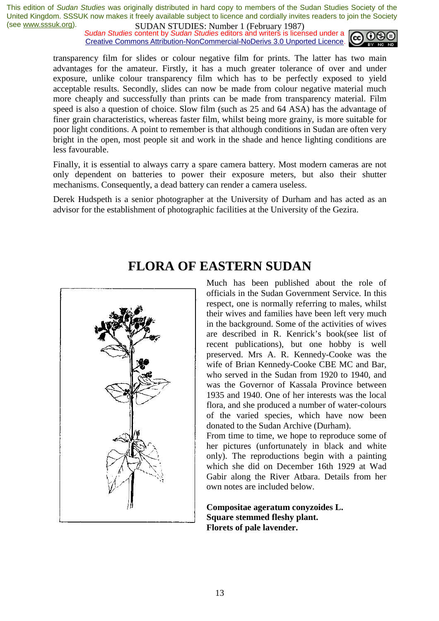*Sudan Studies* content by *Sudan Studies* editors and writers is licensed under a Creative Commons Attribution-NonCommercial-NoDerivs 3.0 Unported Licence.



transparency film for slides or colour negative film for prints. The latter has two main advantages for the amateur. Firstly, it has a much greater tolerance of over and under exposure, unlike colour transparency film which has to be perfectly exposed to yield acceptable results. Secondly, slides can now be made from colour negative material much more cheaply and successfully than prints can be made from transparency material. Film speed is also a question of choice. Slow film (such as 25 and 64 ASA) has the advantage of finer grain characteristics, whereas faster film, whilst being more grainy, is more suitable for poor light conditions. A point to remember is that although conditions in Sudan are often very bright in the open, most people sit and work in the shade and hence lighting conditions are less favourable.

Finally, it is essential to always carry a spare camera battery. Most modern cameras are not only dependent on batteries to power their exposure meters, but also their shutter mechanisms. Consequently, a dead battery can render a camera useless.

Derek Hudspeth is a senior photographer at the University of Durham and has acted as an advisor for the establishment of photographic facilities at the University of the Gezira.



### **FLORA OF EASTERN SUDAN**

Much has been published about the role of officials in the Sudan Government Service. In this respect, one is normally referring to males, whilst their wives and families have been left very much in the background. Some of the activities of wives are described in R. Kenrick's book(see list of recent publications), but one hobby is well preserved. Mrs A. R. Kennedy-Cooke was the wife of Brian Kennedy-Cooke CBE MC and Bar, who served in the Sudan from 1920 to 1940, and was the Governor of Kassala Province between 1935 and 1940. One of her interests was the local flora, and she produced a number of water-colours of the varied species, which have now been donated to the Sudan Archive (Durham).

From time to time, we hope to reproduce some of her pictures (unfortunately in black and white only). The reproductions begin with a painting which she did on December 16th 1929 at Wad Gabir along the River Atbara. Details from her own notes are included below.

**Compositae ageratum conyzoides L. Square stemmed fleshy plant. Florets of pale lavender.**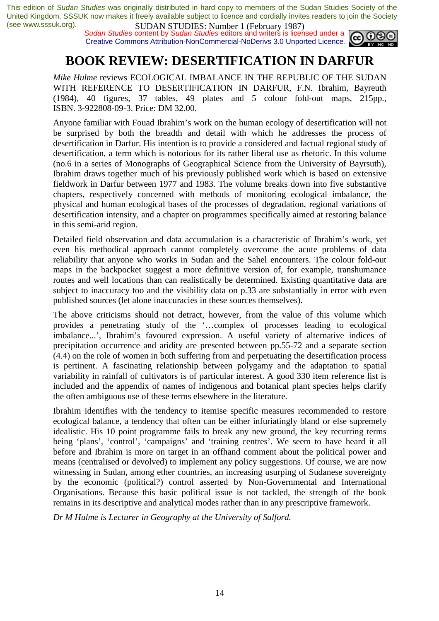*Sudan Studies* content by *Sudan Studies* editors and writers is licensed under a Creative Commons Attribution-NonCommercial-NoDerivs 3.0 Unported Licence.



# **BOOK REVIEW: DESERTIFICATION IN DARFUR**

*Mike Hulme* reviews ECOLOGICAL IMBALANCE IN THE REPUBLIC OF THE SUDAN WITH REFERENCE TO DESERTIFICATION IN DARFUR, F.N. Ibrahim, Bayreuth (1984), 40 figures, 37 tables, 49 plates and 5 colour fold-out maps, 215pp., ISBN. 3-922808-09-3. Price: DM 32.00.

Anyone familiar with Fouad Ibrahim's work on the human ecology of desertification will not be surprised by both the breadth and detail with which he addresses the process of desertification in Darfur. His intention is to provide a considered and factual regional study of desertification, a term which is notorious for its rather liberal use as rhetoric. In this volume (no.6 in a series of Monographs of Geographical Science from the University of Bayrsuth), Ibrahim draws together much of his previously published work which is based on extensive fieldwork in Darfur between 1977 and 1983. The volume breaks down into five substantive chapters, respectively concerned with methods of monitoring ecological imbalance, the physical and human ecological bases of the processes of degradation, regional variations of desertification intensity, and a chapter on programmes specifically aimed at restoring balance in this semi-arid region.

Detailed field observation and data accumulation is a characteristic of Ibrahim's work, yet even his methodical approach cannot completely overcome the acute problems of data reliability that anyone who works in Sudan and the Sahel encounters. The colour fold-out maps in the backpocket suggest a more definitive version of, for example, transhumance routes and well locations than can realistically be determined. Existing quantitative data are subject to inaccuracy too and the visibility data on p.33 are substantially in error with even published sources (let alone inaccuracies in these sources themselves).

The above criticisms should not detract, however, from the value of this volume which provides a penetrating study of the '…complex of processes leading to ecological imbalance...', Ibrahim's favoured expression. A useful variety of alternative indices of precipitation occurrence and aridity are presented between pp.55-72 and a separate section (4.4) on the role of women in both suffering from and perpetuating the desertification process is pertinent. A fascinating relationship between polygamy and the adaptation to spatial variability in rainfall of cultivators is of particular interest. A good 330 item reference list is included and the appendix of names of indigenous and botanical plant species helps clarify the often ambiguous use of these terms elsewhere in the literature.

Ibrahim identifies with the tendency to itemise specific measures recommended to restore ecological balance, a tendency that often can be either infuriatingly bland or else supremely idealistic. His 10 point programme fails to break any new ground, the key recurring terms being 'plans', 'control', 'campaigns' and 'training centres'. We seem to have heard it all before and Ibrahim is more on target in an offhand comment about the political power and means (centralised or devolved) to implement any policy suggestions. Of course, we are now witnessing in Sudan, among ether countries, an increasing usurping of Sudanese sovereignty by the economic (political?) control asserted by Non-Governmental and International Organisations. Because this basic political issue is not tackled, the strength of the book remains in its descriptive and analytical modes rather than in any prescriptive framework.

*Dr M Hulme is Lecturer in Geography at the University of Salford.*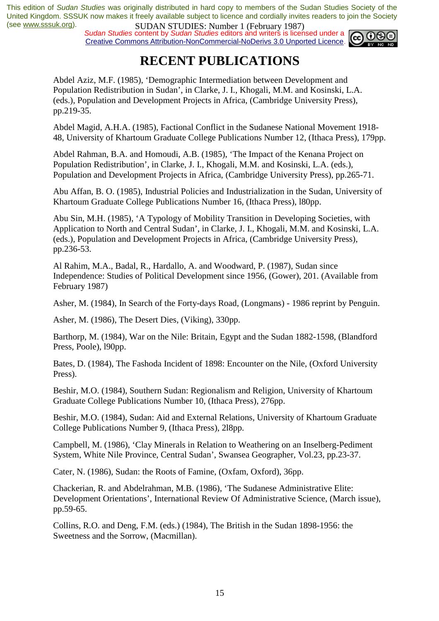*Sudan Studies* content by *Sudan Studies* editors and writers is licensed under a Creative Commons Attribution-NonCommercial-NoDerivs 3.0 Unported Licence.



# **RECENT PUBLICATIONS**

Abdel Aziz, M.F. (1985), 'Demographic Intermediation between Development and Population Redistribution in Sudan', in Clarke, J. I., Khogali, M.M. and Kosinski, L.A. (eds.), Population and Development Projects in Africa, (Cambridge University Press), pp.219-35.

Abdel Magid, A.H.A. (1985), Factional Conflict in the Sudanese National Movement 1918- 48, University of Khartoum Graduate College Publications Number 12, (Ithaca Press), 179pp.

Abdel Rahman, B.A. and Homoudi, A.B. (1985), 'The Impact of the Kenana Project on Population Redistribution', in Clarke, J. I., Khogali, M.M. and Kosinski, L.A. (eds.), Population and Development Projects in Africa, (Cambridge University Press), pp.265-71.

Abu Affan, B. O. (1985), Industrial Policies and Industrialization in the Sudan, University of Khartoum Graduate College Publications Number 16, (Ithaca Press), l80pp.

Abu Sin, M.H. (1985), 'A Typology of Mobility Transition in Developing Societies, with Application to North and Central Sudan', in Clarke, J. I., Khogali, M.M. and Kosinski, L.A. (eds.), Population and Development Projects in Africa, (Cambridge University Press), pp.236-53.

Al Rahim, M.A., Badal, R., Hardallo, A. and Woodward, P. (1987), Sudan since Independence: Studies of Political Development since 1956, (Gower), 201. (Available from February 1987)

Asher, M. (1984), In Search of the Forty-days Road, (Longmans) - 1986 reprint by Penguin.

Asher, M. (1986), The Desert Dies, (Viking), 330pp.

Barthorp, M. (1984), War on the Nile: Britain, Egypt and the Sudan 1882-1598, (Blandford Press, Poole), l90pp.

Bates, D. (1984), The Fashoda Incident of 1898: Encounter on the Nile, (Oxford University Press).

Beshir, M.O. (1984), Southern Sudan: Regionalism and Religion, University of Khartoum Graduate College Publications Number 10, (Ithaca Press), 276pp.

Beshir, M.O. (1984), Sudan: Aid and External Relations, University of Khartoum Graduate College Publications Number 9, (Ithaca Press), 2l8pp.

Campbell, M. (1986), 'Clay Minerals in Relation to Weathering on an Inselberg-Pediment System, White Nile Province, Central Sudan', Swansea Geographer, Vol.23, pp.23-37.

Cater, N. (1986), Sudan: the Roots of Famine, (Oxfam, Oxford), 36pp.

Chackerian, R. and Abdelrahman, M.B. (1986), 'The Sudanese Administrative Elite: Development Orientations', International Review Of Administrative Science, (March issue), pp.59-65.

Collins, R.O. and Deng, F.M. (eds.) (1984), The British in the Sudan 1898-1956: the Sweetness and the Sorrow, (Macmillan).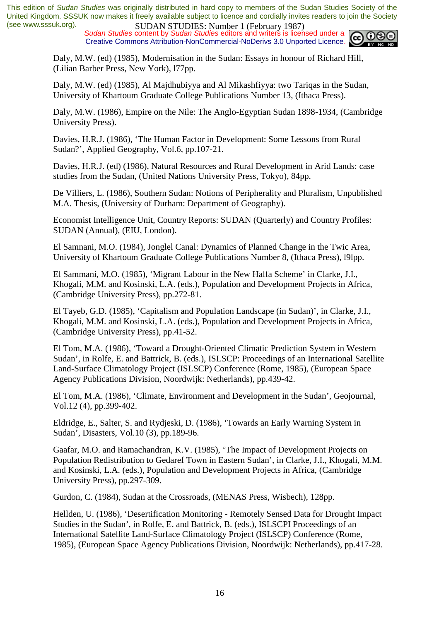*Sudan Studies* content by *Sudan Studies* editors and writers is licensed under a Creative Commons Attribution-NonCommercial-NoDerivs 3.0 Unported Licence.



Daly, M.W. (ed) (1985), Modernisation in the Sudan: Essays in honour of Richard Hill, (Lilian Barber Press, New York), l77pp.

Daly, M.W. (ed) (1985), Al Majdhubiyya and Al Mikashfiyya: two Tariqas in the Sudan, University of Khartoum Graduate College Publications Number 13, (Ithaca Press).

Daly, M.W. (1986), Empire on the Nile: The Anglo-Egyptian Sudan 1898-1934, (Cambridge University Press).

Davies, H.R.J. (1986), 'The Human Factor in Development: Some Lessons from Rural Sudan?', Applied Geography, Vol.6, pp.107-21.

Davies, H.R.J. (ed) (1986), Natural Resources and Rural Development in Arid Lands: case studies from the Sudan, (United Nations University Press, Tokyo), 84pp.

De Villiers, L. (1986), Southern Sudan: Notions of Peripherality and Pluralism, Unpublished M.A. Thesis, (University of Durham: Department of Geography).

Economist Intelligence Unit, Country Reports: SUDAN (Quarterly) and Country Profiles: SUDAN (Annual), (EIU, London).

El Samnani, M.O. (1984), Jonglel Canal: Dynamics of Planned Change in the Twic Area, University of Khartoum Graduate College Publications Number 8, (Ithaca Press), l9lpp.

El Sammani, M.O. (1985), 'Migrant Labour in the New Halfa Scheme' in Clarke, J.I., Khogali, M.M. and Kosinski, L.A. (eds.), Population and Development Projects in Africa, (Cambridge University Press), pp.272-81.

El Tayeb, G.D. (1985), 'Capitalism and Population Landscape (in Sudan)', in Clarke, J.I., Khogali, M.M. and Kosinski, L.A. (eds.), Population and Development Projects in Africa, (Cambridge University Press), pp.41-52.

El Tom, M.A. (1986), 'Toward a Drought-Oriented Climatic Prediction System in Western Sudan', in Rolfe, E. and Battrick, B. (eds.), ISLSCP: Proceedings of an International Satellite Land-Surface Climatology Project (ISLSCP) Conference (Rome, 1985), (European Space Agency Publications Division, Noordwijk: Netherlands), pp.439-42.

El Tom, M.A. (1986), 'Climate, Environment and Development in the Sudan', Geojournal, Vol.12 (4), pp.399-402.

Eldridge, E., Salter, S. and Rydjeski, D. (1986), 'Towards an Early Warning System in Sudan', Disasters, Vol.10 (3), pp.189-96.

Gaafar, M.O. and Ramachandran, K.V. (1985), 'The Impact of Development Projects on Population Redistribution to Gedaref Town in Eastern Sudan', in Clarke, J.I., Khogali, M.M. and Kosinski, L.A. (eds.), Population and Development Projects in Africa, (Cambridge University Press), pp.297-309.

Gurdon, C. (1984), Sudan at the Crossroads, (MENAS Press, Wisbech), 128pp.

Hellden, U. (1986), 'Desertification Monitoring - Remotely Sensed Data for Drought Impact Studies in the Sudan', in Rolfe, E. and Battrick, B. (eds.), ISLSCPI Proceedings of an International Satellite Land-Surface Climatology Project (ISLSCP) Conference (Rome, 1985), (European Space Agency Publications Division, Noordwijk: Netherlands), pp.417-28.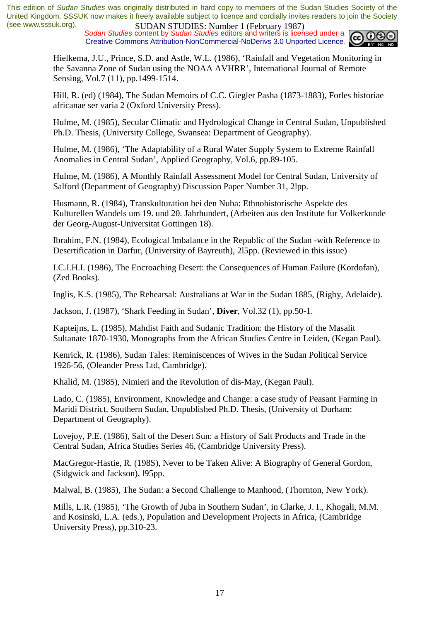*Sudan Studies* content by *Sudan Studies* editors and writers is licensed under a Creative Commons Attribution-NonCommercial-NoDerivs 3.0 Unported Licence.



Hielkema, J.U., Prince, S.D. and Astle, W.L. (1986), 'Rainfall and Vegetation Monitoring in the Savanna Zone of Sudan using the NOAA AVHRR', International Journal of Remote Sensing, Vol.7 (11), pp.1499-1514.

Hill, R. (ed) (1984), The Sudan Memoirs of C.C. Giegler Pasha (1873-1883), Forles historiae africanae ser varia 2 (Oxford University Press).

Hulme, M. (1985), Secular Climatic and Hydrological Change in Central Sudan, Unpublished Ph.D. Thesis, (University College, Swansea: Department of Geography).

Hulme, M. (1986), 'The Adaptability of a Rural Water Supply System to Extreme Rainfall Anomalies in Central Sudan', Applied Geography, Vol.6, pp.89-105.

Hulme, M. (1986), A Monthly Rainfall Assessment Model for Central Sudan, University of Salford (Department of Geography) Discussion Paper Number 31, 2lpp.

Husmann, R. (1984), Transkulturation bei den Nuba: Ethnohistorische Aspekte des Kulturellen Wandels um 19. und 20. Jahrhundert, (Arbeiten aus den Institute fur Volkerkunde der Georg-August-Universitat Gottingen 18).

Ibrahim, F.N. (1984), Ecological Imbalance in the Republic of the Sudan -with Reference to Desertification in Darfur, (University of Bayreuth), 2l5pp. (Reviewed in this issue)

I.C.I.H.I. (1986), The Encroaching Desert: the Consequences of Human Failure (Kordofan), (Zed Books).

Inglis, K.S. (1985), The Rehearsal: Australians at War in the Sudan 1885, (Rigby, Adelaide).

Jackson, J. (1987), 'Shark Feeding in Sudan', **Diver**, Vol.32 (1), pp.50-1.

Kapteijns, L. (1985), Mahdist Faith and Sudanic Tradition: the History of the Masalit Sultanate 1870-1930, Monographs from the African Studies Centre in Leiden, (Kegan Paul).

Kenrick, R. (1986), Sudan Tales: Reminiscences of Wives in the Sudan Political Service 1926-56, (Oleander Press Ltd, Cambridge).

Khalid, M. (1985), Nimieri and the Revolution of dis-May, (Kegan Paul).

Lado, C. (1985), Environment, Knowledge and Change: a case study of Peasant Farming in Maridi District, Southern Sudan, Unpublished Ph.D. Thesis, (University of Durham: Department of Geography).

Lovejoy, P.E. (1986), Salt of the Desert Sun: a History of Salt Products and Trade in the Central Sudan, Africa Studies Series 46, (Cambridge University Press).

MacGregor-Hastie, R. (198S), Never to be Taken Alive: A Biography of General Gordon, (Sidgwick and Jackson), l95pp.

Malwal, B. (1985), The Sudan: a Second Challenge to Manhood, (Thornton, New York).

Mills, L.R. (1985), 'The Growth of Juba in Southern Sudan', in Clarke, J. I., Khogali, M.M. and Kosinski, L.A. (eds.), Population and Development Projects in Africa, (Cambridge University Press), pp.310-23.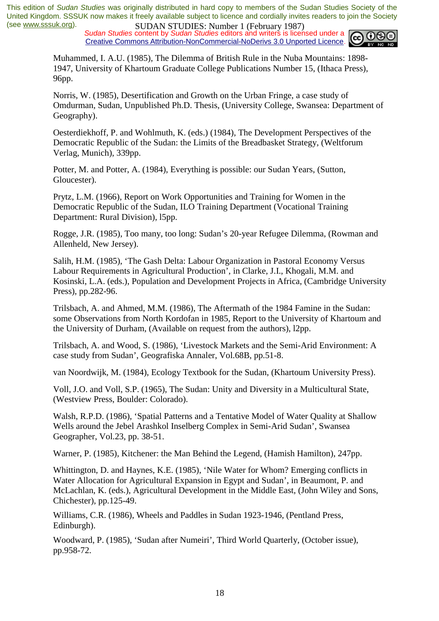*Sudan Studies* content by *Sudan Studies* editors and writers is licensed under a Creative Commons Attribution-NonCommercial-NoDerivs 3.0 Unported Licence.



Muhammed, I. A.U. (1985), The Dilemma of British Rule in the Nuba Mountains: 1898- 1947, University of Khartoum Graduate College Publications Number 15, (Ithaca Press), 96pp.

Norris, W. (1985), Desertification and Growth on the Urban Fringe, a case study of Omdurman, Sudan, Unpublished Ph.D. Thesis, (University College, Swansea: Department of Geography).

Oesterdiekhoff, P. and Wohlmuth, K. (eds.) (1984), The Development Perspectives of the Democratic Republic of the Sudan: the Limits of the Breadbasket Strategy, (Weltforum Verlag, Munich), 339pp.

Potter, M. and Potter, A. (1984), Everything is possible: our Sudan Years, (Sutton, Gloucester).

Prytz, L.M. (1966), Report on Work Opportunities and Training for Women in the Democratic Republic of the Sudan, ILO Training Department (Vocational Training Department: Rural Division), l5pp.

Rogge, J.R. (1985), Too many, too long: Sudan's 20-year Refugee Dilemma, (Rowman and Allenheld, New Jersey).

Salih, H.M. (1985), 'The Gash Delta: Labour Organization in Pastoral Economy Versus Labour Requirements in Agricultural Production', in Clarke, J.I., Khogali, M.M. and Kosinski, L.A. (eds.), Population and Development Projects in Africa, (Cambridge University Press), pp.282-96.

Trilsbach, A. and Ahmed, M.M. (1986), The Aftermath of the 1984 Famine in the Sudan: some Observations from North Kordofan in 1985, Report to the University of Khartoum and the University of Durham, (Available on request from the authors), l2pp.

Trilsbach, A. and Wood, S. (1986), 'Livestock Markets and the Semi-Arid Environment: A case study from Sudan', Geografiska Annaler, Vol.68B, pp.51-8.

van Noordwijk, M. (1984), Ecology Textbook for the Sudan, (Khartoum University Press).

Voll, J.O. and Voll, S.P. (1965), The Sudan: Unity and Diversity in a Multicultural State, (Westview Press, Boulder: Colorado).

Walsh, R.P.D. (1986), 'Spatial Patterns and a Tentative Model of Water Quality at Shallow Wells around the Jebel Arashkol Inselberg Complex in Semi-Arid Sudan', Swansea Geographer, Vol.23, pp. 38-51.

Warner, P. (1985), Kitchener: the Man Behind the Legend, (Hamish Hamilton), 247pp.

Whittington, D. and Haynes, K.E. (1985), 'Nile Water for Whom? Emerging conflicts in Water Allocation for Agricultural Expansion in Egypt and Sudan', in Beaumont, P. and McLachlan, K. (eds.), Agricultural Development in the Middle East, (John Wiley and Sons, Chichester), pp.125-49.

Williams, C.R. (1986), Wheels and Paddles in Sudan 1923-1946, (Pentland Press, Edinburgh).

Woodward, P. (1985), 'Sudan after Numeiri', Third World Quarterly, (October issue), pp.958-72.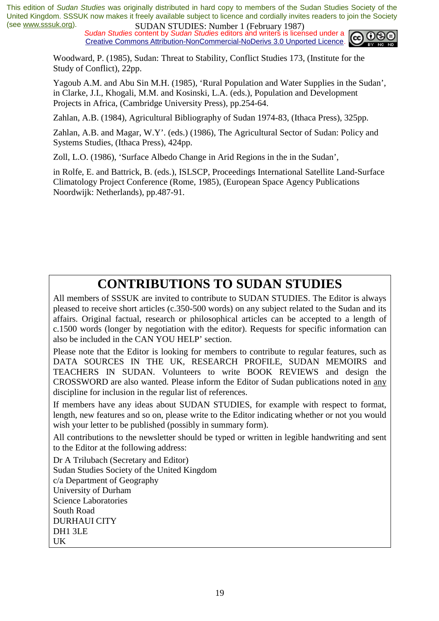*Sudan Studies* content by *Sudan Studies* editors and writers is licensed under a Creative Commons Attribution-NonCommercial-NoDerivs 3.0 Unported Licence.



Woodward, P. (1985), Sudan: Threat to Stability, Conflict Studies 173, (Institute for the Study of Conflict), 22pp.

Yagoub A.M. and Abu Sin M.H. (1985), 'Rural Population and Water Supplies in the Sudan', in Clarke, J.I., Khogali, M.M. and Kosinski, L.A. (eds.), Population and Development Projects in Africa, (Cambridge University Press), pp.254-64.

Zahlan, A.B. (1984), Agricultural Bibliography of Sudan 1974-83, (Ithaca Press), 325pp.

Zahlan, A.B. and Magar, W.Y'. (eds.) (1986), The Agricultural Sector of Sudan: Policy and Systems Studies, (Ithaca Press), 424pp.

Zoll, L.O. (1986), 'Surface Albedo Change in Arid Regions in the in the Sudan',

in Rolfe, E. and Battrick, B. (eds.), ISLSCP, Proceedings International Satellite Land-Surface Climatology Project Conference (Rome, 1985), (European Space Agency Publications Noordwijk: Netherlands), pp.487-91.

# **CONTRIBUTIONS TO SUDAN STUDIES**

All members of SSSUK are invited to contribute to SUDAN STUDIES. The Editor is always pleased to receive short articles (c.350-500 words) on any subject related to the Sudan and its affairs. Original factual, research or philosophical articles can be accepted to a length of c.1500 words (longer by negotiation with the editor). Requests for specific information can also be included in the CAN YOU HELP' section.

Please note that the Editor is looking for members to contribute to regular features, such as DATA SOURCES IN THE UK, RESEARCH PROFILE, SUDAN MEMOIRS and TEACHERS IN SUDAN. Volunteers to write BOOK REVIEWS and design the CROSSWORD are also wanted. Please inform the Editor of Sudan publications noted in any discipline for inclusion in the regular list of references.

If members have any ideas about SUDAN STUDIES, for example with respect to format, length, new features and so on, please write to the Editor indicating whether or not you would wish your letter to be published (possibly in summary form).

All contributions to the newsletter should be typed or written in legible handwriting and sent to the Editor at the following address:

Dr A Trilubach (Secretary and Editor) Sudan Studies Society of the United Kingdom c/a Department of Geography University of Durham Science Laboratories South Road DURHAUI CITY DH1 3LE UK